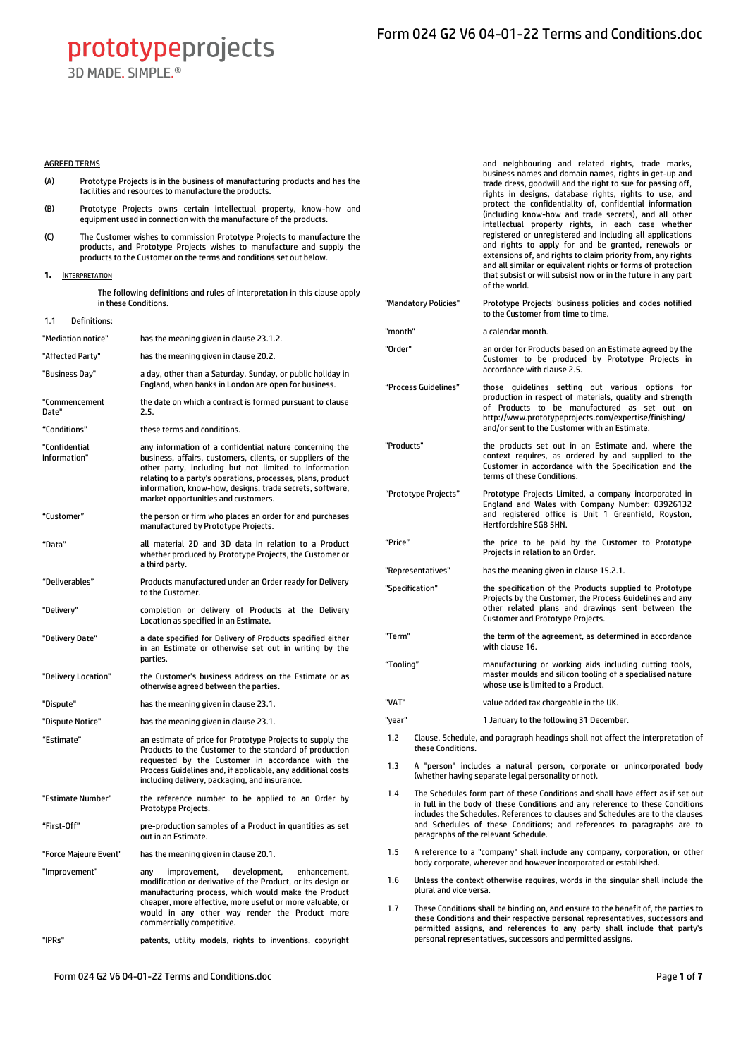3D MADE SIMPLE<sup>®</sup>

## AGREED TERMS

- (A) Prototype Projects is in the business of manufacturing products and has the facilities and resources to manufacture the products.
- (B) Prototype Projects owns certain intellectual property, know-how and equipment used in connection with the manufacture of the products.
- (C) The Customer wishes to commission Prototype Projects to manufacture the products, and Prototype Projects wishes to manufacture and supply the products to the Customer on the terms and conditions set out below.

<span id="page-0-0"></span>**1.** INTERPRETATION

The following definitions and rules of interpretation in this clause apply in these Conditions.

1.1 Definitions:

| "Mediation notice"            | has the meaning given in clause 23.1.2.                                                                                                                                                                                                                                                                                                          |
|-------------------------------|--------------------------------------------------------------------------------------------------------------------------------------------------------------------------------------------------------------------------------------------------------------------------------------------------------------------------------------------------|
| "Affected Party"              | has the meaning given in clause 20.2.                                                                                                                                                                                                                                                                                                            |
| "Business Day"                | a day, other than a Saturday, Sunday, or public holiday in<br>England, when banks in London are open for business.                                                                                                                                                                                                                               |
| "Commencement<br>Date"        | the date on which a contract is formed pursuant to clause<br>2.5.                                                                                                                                                                                                                                                                                |
| "Conditions"                  | these terms and conditions.                                                                                                                                                                                                                                                                                                                      |
| "Confidential<br>Information" | any information of a confidential nature concerning the<br>business, affairs, customers, clients, or suppliers of the<br>other party, including but not limited to information<br>relating to a party's operations, processes, plans, product<br>information, know-how, designs, trade secrets, software,<br>market opportunities and customers. |
| "Customer"                    | the person or firm who places an order for and purchases<br>manufactured by Prototype Projects.                                                                                                                                                                                                                                                  |
| "Data"                        | all material 2D and 3D data in relation to a Product<br>whether produced by Prototype Projects, the Customer or<br>a third party.                                                                                                                                                                                                                |
| "Deliverables"                | Products manufactured under an Order ready for Delivery<br>to the Customer.                                                                                                                                                                                                                                                                      |
| "Delivery"                    | completion or delivery of Products at the Delivery<br>Location as specified in an Estimate.                                                                                                                                                                                                                                                      |
| "Delivery Date"               | a date specified for Delivery of Products specified either<br>in an Estimate or otherwise set out in writing by the<br>parties.                                                                                                                                                                                                                  |
| "Delivery Location"           | the Customer's business address on the Estimate or as<br>otherwise agreed between the parties.                                                                                                                                                                                                                                                   |
| "Dispute"                     | has the meaning given in clause 23.1.                                                                                                                                                                                                                                                                                                            |
| "Dispute Notice"              | has the meaning given in clause 23.1.                                                                                                                                                                                                                                                                                                            |
| "Estimate"                    | an estimate of price for Prototype Projects to supply the<br>Products to the Customer to the standard of production<br>requested by the Customer in accordance with the<br>Process Guidelines and, if applicable, any additional costs<br>including delivery, packaging, and insurance.                                                          |
| "Estimate Number"             | the reference number to be applied to an Order by<br>Prototype Projects.                                                                                                                                                                                                                                                                         |
| "First-Off"                   | pre-production samples of a Product in quantities as set<br>out in an Estimate.                                                                                                                                                                                                                                                                  |
| "Force Majeure Event"         | has the meaning given in clause 20.1.                                                                                                                                                                                                                                                                                                            |
| "Improvement"                 | improvement,<br>development,<br>enhancement,<br>any<br>modification or derivative of the Product, or its design or<br>manufacturing process, which would make the Product<br>cheaper, more effective, more useful or more valuable, or<br>would in any other way render the Product more<br>commercially competitive.                            |
| "IPRs"                        | patents, utility models, rights to inventions, copyright                                                                                                                                                                                                                                                                                         |

and neighbouring and related rights, trade marks, business names and domain names, rights in get-up and trade dress, goodwill and the right to sue for passing off, rights in designs, database rights, rights to use, and protect the confidentiality of, confidential information (including know-how and trade secrets), and all other intellectual property rights, in each case whether registered or unregistered and including all applications and rights to apply for and be granted, renewals or extensions of, and rights to claim priority from, any rights and all similar or equivalent rights or forms of protection that subsist or will subsist now or in the future in any part of the world.

"Mandatory Policies" Prototype Projects' business policies and codes notified to the Customer from time to time.

"month" a calendar month.

- "Order" an order for Products based on an Estimate agreed by the Customer to be produced by Prototype Projects in accordance with claus[e 2.5](#page-1-0).
- "Process Guidelines" those guidelines setting out various options for production in respect of materials, quality and strength of Products to be manufactured as set out on <http://www.prototypeprojects.com/expertise/finishing/> and/or sent to the Customer with an Estimate.
- "Products" the products set out in an Estimate and, where the context requires, as ordered by and supplied to the Customer in accordance with the Specification and the terms of these Conditions.
- "Prototype Projects" Prototype Projects Limited, a company incorporated in England and Wales with Company Number: 03926132 and registered office is Unit 1 Greenfield, Royston, Hertfordshire SG8 5HN.
- "Price" the price to be paid by the Customer to Prototype Projects in relation to an Order.
- "Representatives" has the meaning given in claus[e 15.2.1.](#page-3-0)
- "Specification" the specification of the Products supplied to Prototype Projects by the Customer, the Process Guidelines and any other related plans and drawings sent between the Customer and Prototype Projects.
- "Term" the term of the agreement, as determined in accordance with claus[e 16.](#page-4-1) "Tooling" manufacturing or working aids including cutting tools,
	- master moulds and silicon tooling of a specialised nature whose use is limited to a Product.
- "VAT" value added tax chargeable in the UK.
- "year" 1 January to the following 31 December.
- 1.2 Clause, Schedule, and paragraph headings shall not affect the interpretation of these Conditions.
- 1.3 A "person" includes a natural person, corporate or unincorporated body (whether having separate legal personality or not).
- 1.4 The Schedules form part of these Conditions and shall have effect as if set out in full in the body of these Conditions and any reference to these Conditions includes the Schedules. References to clauses and Schedules are to the clauses and Schedules of these Conditions; and references to paragraphs are to paragraphs of the relevant Schedule.
- 1.5 A reference to a "company" shall include any company, corporation, or other body corporate, wherever and however incorporated or established.
- 1.6 Unless the context otherwise requires, words in the singular shall include the plural and vice versa.
- 1.7 These Conditions shall be binding on, and ensure to the benefit of, the parties to these Conditions and their respective personal representatives, successors and permitted assigns, and references to any party shall include that party's personal representatives, successors and permitted assigns.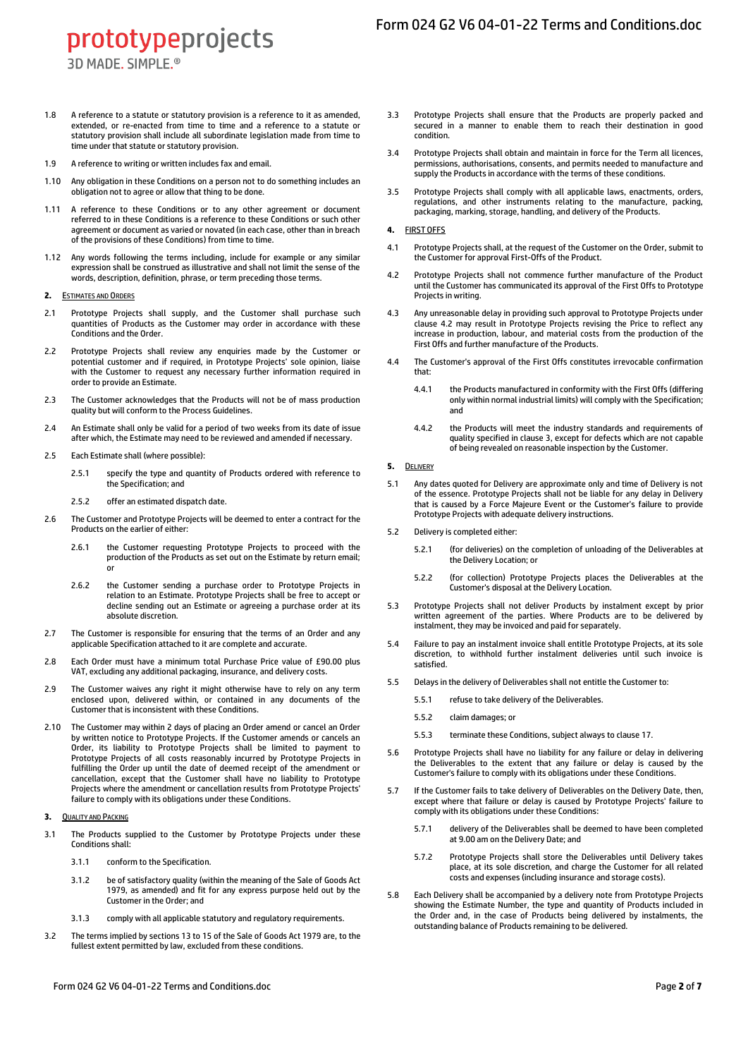3D MADE, SIMPLE.<sup>®</sup>

- 1.8 A reference to a statute or statutory provision is a reference to it as amended, extended, or re-enacted from time to time and a reference to a statute or statutory provision shall include all subordinate legislation made from time to time under that statute or statutory provision.
- 1.9 A reference to writing or written includes fax and email.
- 1.10 Any obligation in these Conditions on a person not to do something includes an obligation not to agree or allow that thing to be done.
- 1.11 A reference to these Conditions or to any other agreement or document referred to in these Conditions is a reference to these Conditions or such other agreement or document as varied or novated (in each case, other than in breach of the provisions of these Conditions) from time to time.
- 1.12 Any words following the terms including, include for example or any similar expression shall be construed as illustrative and shall not limit the sense of the words, description, definition, phrase, or term preceding those terms.
- <span id="page-1-0"></span>**2.** ESTIMATES AND ORDERS
- 2.1 Prototype Projects shall supply, and the Customer shall purchase such quantities of Products as the Customer may order in accordance with these Conditions and the Order.
- 2.2 Prototype Projects shall review any enquiries made by the Customer or potential customer and if required, in Prototype Projects' sole opinion, liaise with the Customer to request any necessary further information required in order to provide an Estimate.
- 2.3 The Customer acknowledges that the Products will not be of mass production quality but will conform to the Process Guidelines.
- 2.4 An Estimate shall only be valid for a period of two weeks from its date of issue after which, the Estimate may need to be reviewed and amended if necessary.
- 2.5 Each Estimate shall (where possible):
	- 2.5.1 specify the type and quantity of Products ordered with reference to the Specification; and
	- 2.5.2 offer an estimated dispatch date.
- 2.6 The Customer and Prototype Projects will be deemed to enter a contract for the Products on the earlier of either:
	- 2.6.1 the Customer requesting Prototype Projects to proceed with the production of the Products as set out on the Estimate by return email; or
	- 2.6.2 the Customer sending a purchase order to Prototype Projects in relation to an Estimate. Prototype Projects shall be free to accept or decline sending out an Estimate or agreeing a purchase order at its absolute discretion.
- 2.7 The Customer is responsible for ensuring that the terms of an Order and any applicable Specification attached to it are complete and accurate.
- 2.8 Each Order must have a minimum total Purchase Price value of £90.00 plus VAT, excluding any additional packaging, insurance, and delivery costs.
- 2.9 The Customer waives any right it might otherwise have to rely on any term enclosed upon, delivered within, or contained in any documents of the Customer that is inconsistent with these Conditions.
- 2.10 The Customer may within 2 days of placing an Order amend or cancel an Order by written notice to Prototype Projects. If the Customer amends or cancels an Order, its liability to Prototype Projects shall be limited to payment to Prototype Projects of all costs reasonably incurred by Prototype Projects in fulfilling the Order up until the date of deemed receipt of the amendment or cancellation, except that the Customer shall have no liability to Prototype Projects where the amendment or cancellation results from Prototype Projects' failure to comply with its obligations under these Conditions.
- <span id="page-1-2"></span>**3.** QUALITY AND PACKING
- <span id="page-1-3"></span>3.1 The Products supplied to the Customer by Prototype Projects under these Conditions shall:
	- 3.1.1 conform to the Specification.
	- 3.1.2 be of satisfactory quality (within the meaning of the Sale of Goods Act 1979, as amended) and fit for any express purpose held out by the Customer in the Order; and
	- 3.1.3 comply with all applicable statutory and regulatory requirements.
- 3.2 The terms implied by sections 13 to 15 of the Sale of Goods Act 1979 are, to the fullest extent permitted by law, excluded from these conditions.
- 3.3 Prototype Projects shall ensure that the Products are properly packed and secured in a manner to enable them to reach their destination in good condition.
- 3.4 Prototype Projects shall obtain and maintain in force for the Term all licences, permissions, authorisations, consents, and permits needed to manufacture and supply the Products in accordance with the terms of these conditions.
- 3.5 Prototype Projects shall comply with all applicable laws, enactments, orders, regulations, and other instruments relating to the manufacture, packing, packaging, marking, storage, handling, and delivery of the Products.
- **4.** FIRST OFFS
- 4.1 Prototype Projects shall, at the request of the Customer on the Order, submit to the Customer for approval First-Offs of the Product.
- <span id="page-1-1"></span>4.2 Prototype Projects shall not commence further manufacture of the Product until the Customer has communicated its approval of the First Offs to Prototype Projects in writing.
- 4.3 Any unreasonable delay in providing such approval to Prototype Projects under clause [4.2](#page-1-1) may result in Prototype Projects revising the Price to reflect any increase in production, labour, and material costs from the production of the First Offs and further manufacture of the Products.
- 4.4 The Customer's approval of the First Offs constitutes irrevocable confirmation that:
	- 4.4.1 the Products manufactured in conformity with the First Offs (differing only within normal industrial limits) will comply with the Specification; and
	- 4.4.2 the Products will meet the industry standards and requirements of quality specified in claus[e 3,](#page-1-2) except for defects which are not capable of being revealed on reasonable inspection by the Customer.
- <span id="page-1-4"></span>**5.** DELIVERY
- 5.1 Any dates quoted for Delivery are approximate only and time of Delivery is not of the essence. Prototype Projects shall not be liable for any delay in Delivery that is caused by a Force Majeure Event or the Customer's failure to provide Prototype Projects with adequate delivery instructions.
- 5.2 Delivery is completed either:
	- 5.2.1 (for deliveries) on the completion of unloading of the Deliverables at the Delivery Location; or
	- 5.2.2 (for collection) Prototype Projects places the Deliverables at the Customer's disposal at the Delivery Location.
- 5.3 Prototype Projects shall not deliver Products by instalment except by prior written agreement of the parties. Where Products are to be delivered by instalment, they may be invoiced and paid for separately.
- 5.4 Failure to pay an instalment invoice shall entitle Prototype Projects, at its sole discretion, to withhold further instalment deliveries until such invoice is satisfied.
- 5.5 Delays in the delivery of Deliverables shall not entitle the Customer to:
	- 5.5.1 refuse to take delivery of the Deliverables.
		- 5.5.2 claim damages; or
		- 5.5.3 terminate these Conditions, subject always to claus[e 17.](#page-4-2)
- 5.6 Prototype Projects shall have no liability for any failure or delay in delivering the Deliverables to the extent that any failure or delay is caused by the Customer's failure to comply with its obligations under these Conditions.
- 5.7 If the Customer fails to take delivery of Deliverables on the Delivery Date, then, except where that failure or delay is caused by Prototype Projects' failure to comply with its obligations under these Conditions:
	- 5.7.1 delivery of the Deliverables shall be deemed to have been completed at 9.00 am on the Delivery Date; and
	- 5.7.2 Prototype Projects shall store the Deliverables until Delivery takes place, at its sole discretion, and charge the Customer for all related costs and expenses (including insurance and storage costs).
- 5.8 Each Delivery shall be accompanied by a delivery note from Prototype Projects showing the Estimate Number, the type and quantity of Products included in the Order and, in the case of Products being delivered by instalments, the outstanding balance of Products remaining to be delivered.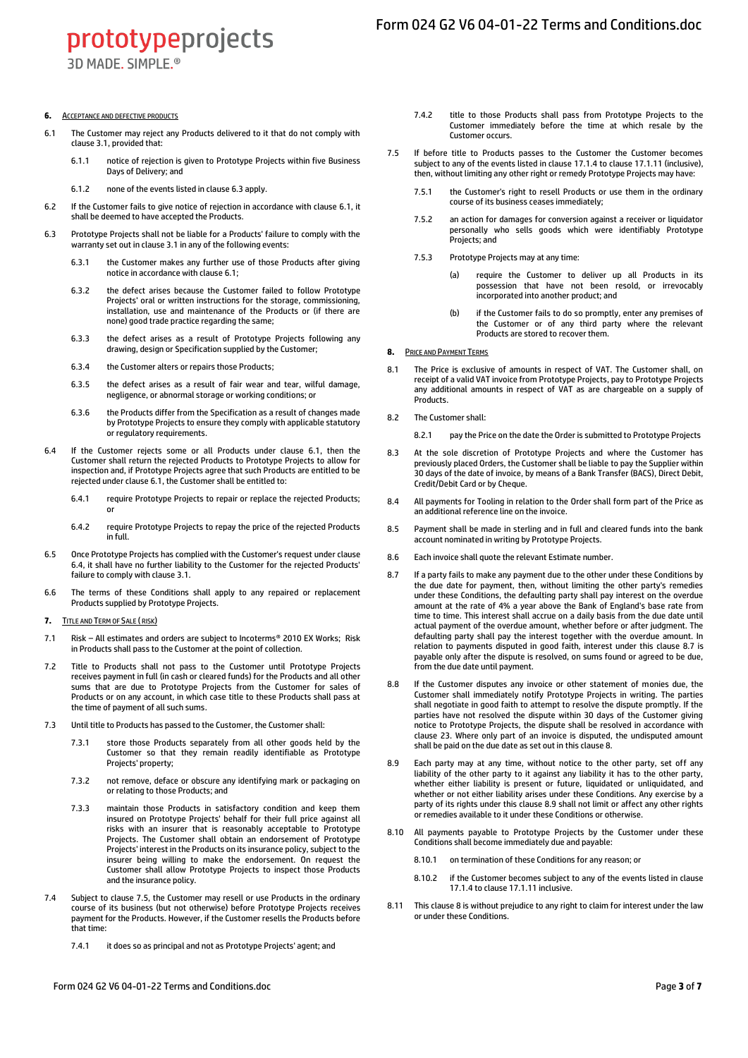prototypeprojects 3D MADE, SIMPLE.<sup>®</sup>

#### **6.** ACCEPTANCE AND DEFECTIVE PRODUCTS

- <span id="page-2-1"></span>6.1 The Customer may reject any Products delivered to it that do not comply with claus[e 3.1,](#page-1-3) provided that:
	- 6.1.1 notice of rejection is given to Prototype Projects within five Business Days of Delivery; and
	- 6.1.2 none of the events listed in claus[e 6.3](#page-2-0) apply.
- 6.2 If the Customer fails to give notice of rejection in accordance with claus[e 6.1,](#page-2-1) it shall be deemed to have accepted the Products.
- <span id="page-2-0"></span>6.3 Prototype Projects shall not be liable for a Products' failure to comply with the warranty set out in claus[e 3.1](#page-1-3) in any of the following events:
	- 6.3.1 the Customer makes any further use of those Products after giving notice in accordance with claus[e 6.1;](#page-2-1)
	- 6.3.2 the defect arises because the Customer failed to follow Prototype Projects' oral or written instructions for the storage, commissioning, installation, use and maintenance of the Products or (if there are none) good trade practice regarding the same;
	- 6.3.3 the defect arises as a result of Prototype Projects following any drawing, design or Specification supplied by the Customer;
	- 6.3.4 the Customer alters or repairs those Products;
	- 6.3.5 the defect arises as a result of fair wear and tear, wilful damage, negligence, or abnormal storage or working conditions; or
	- 6.3.6 the Products differ from the Specification as a result of changes made by Prototype Projects to ensure they comply with applicable statutory or regulatory requirements.
- <span id="page-2-2"></span>6.4 If the Customer rejects some or all Products under clause [6.1,](#page-2-1) then the Customer shall return the rejected Products to Prototype Projects to allow for inspection and, if Prototype Projects agree that such Products are entitled to be rejected under clause [6.1,](#page-2-1) the Customer shall be entitled to:
	- 6.4.1 require Prototype Projects to repair or replace the rejected Products; or
	- 6.4.2 require Prototype Projects to repay the price of the rejected Products in full.
- 6.5 Once Prototype Projects has complied with the Customer's request under clause [6.4,](#page-2-2) it shall have no further liability to the Customer for the rejected Products' failure to comply with claus[e 3.1.](#page-1-3)
- 6.6 The terms of these Conditions shall apply to any repaired or replacement Products supplied by Prototype Projects.
- <span id="page-2-7"></span>**7.** TITLE AND TERM OF SALE ( RISK)
- 7.1 Risk All estimates and orders are subject to Incoterms® 2010 EX Works; Risk in Products shall pass to the Customer at the point of collection.
- 7.2 Title to Products shall not pass to the Customer until Prototype Projects receives payment in full (in cash or cleared funds) for the Products and all other sums that are due to Prototype Projects from the Customer for sales of Products or on any account, in which case title to these Products shall pass at the time of payment of all such sums.
- 7.3 Until title to Products has passed to the Customer, the Customer shall:
	- 7.3.1 store those Products separately from all other goods held by the Customer so that they remain readily identifiable as Prototype Projects' property;
	- 7.3.2 not remove, deface or obscure any identifying mark or packaging on or relating to those Products; and
	- 7.3.3 maintain those Products in satisfactory condition and keep them insured on Prototype Projects' behalf for their full price against all risks with an insurer that is reasonably acceptable to Prototype Projects. The Customer shall obtain an endorsement of Prototype Projects' interest in the Products on its insurance policy, subject to the insurer being willing to make the endorsement. On request the Customer shall allow Prototype Projects to inspect those Products and the insurance policy.
- 7.4 Subject to claus[e 7.5,](#page-2-3) the Customer may resell or use Products in the ordinary course of its business (but not otherwise) before Prototype Projects receives payment for the Products. However, if the Customer resells the Products before that time:
	- 7.4.1 it does so as principal and not as Prototype Projects' agent; and
- 7.4.2 title to those Products shall pass from Prototype Projects to the Customer immediately before the time at which resale by the Customer occurs.
- <span id="page-2-3"></span>7.5 If before title to Products passes to the Customer the Customer becomes subject to any of the events listed in claus[e 17.1.4](#page-4-3) to claus[e 17.1.11](#page-4-4) (inclusive), then, without limiting any other right or remedy Prototype Projects may have:
	- 7.5.1 the Customer's right to resell Products or use them in the ordinary course of its business ceases immediately;
	- 7.5.2 an action for damages for conversion against a receiver or liquidator personally who sells goods which were identifiably Prototype Projects; and
	- 7.5.3 Prototype Projects may at any time:
		- (a) require the Customer to deliver up all Products in its possession that have not been resold, or irrevocably incorporated into another product; and
		- (b) if the Customer fails to do so promptly, enter any premises of the Customer or of any third party where the relevant Products are stored to recover them.
- <span id="page-2-5"></span>**8.** PRICE AND PAYMENT TERMS
- 8.1 The Price is exclusive of amounts in respect of VAT. The Customer shall, on receipt of a valid VAT invoice from Prototype Projects, pay to Prototype Projects any additional amounts in respect of VAT as are chargeable on a supply of **Products**
- 8.2 The Customer shall:
	- 8.2.1 pay the Price on the date the Order is submitted to Prototype Projects
- 8.3 At the sole discretion of Prototype Projects and where the Customer has previously placed Orders, the Customer shall be liable to pay the Supplier within 30 days of the date of invoice, by means of a Bank Transfer (BACS), Direct Debit, Credit/Debit Card or by Cheque.
- 8.4 All payments for Tooling in relation to the Order shall form part of the Price as an additional reference line on the invoice.
- 8.5 Payment shall be made in sterling and in full and cleared funds into the bank account nominated in writing by Prototype Projects.
- 8.6 Each invoice shall quote the relevant Estimate number.
- <span id="page-2-4"></span>8.7 If a party fails to make any payment due to the other under these Conditions by the due date for payment, then, without limiting the other party's remedies under these Conditions, the defaulting party shall pay interest on the overdue amount at the rate of 4% a year above the Bank of England's base rate from time to time. This interest shall accrue on a daily basis from the due date until actual payment of the overdue amount, whether before or after judgment. The defaulting party shall pay the interest together with the overdue amount. In relation to payments disputed in good faith, interest under this claus[e 8.7](#page-2-4) is payable only after the dispute is resolved, on sums found or agreed to be due, from the due date until payment.
- 8.8 If the Customer disputes any invoice or other statement of monies due, the Customer shall immediately notify Prototype Projects in writing. The parties shall negotiate in good faith to attempt to resolve the dispute promptly. If the parties have not resolved the dispute within 30 days of the Customer giving notice to Prototype Projects, the dispute shall be resolved in accordance with claus[e 23.](#page-5-3) Where only part of an invoice is disputed, the undisputed amount shall be paid on the due date as set out in this claus[e 8.](#page-2-5)
- <span id="page-2-6"></span>8.9 Each party may at any time, without notice to the other party, set off any liability of the other party to it against any liability it has to the other party, whether either liability is present or future, liquidated or unliquidated, and whether or not either liability arises under these Conditions. Any exercise by a party of its rights under this claus[e 8.9](#page-2-6) shall not limit or affect any other rights or remedies available to it under these Conditions or otherwise.
- 8.10 All payments payable to Prototype Projects by the Customer under these Conditions shall become immediately due and payable:
	- 8.10.1 on termination of these Conditions for any reason; or
	- 8.10.2 if the Customer becomes subject to any of the events listed in clause [17.1.4](#page-4-3) to claus[e 17.1.11](#page-4-4) inclusive.
- This claus[e 8](#page-2-5) is without prejudice to any right to claim for interest under the law or under these Conditions.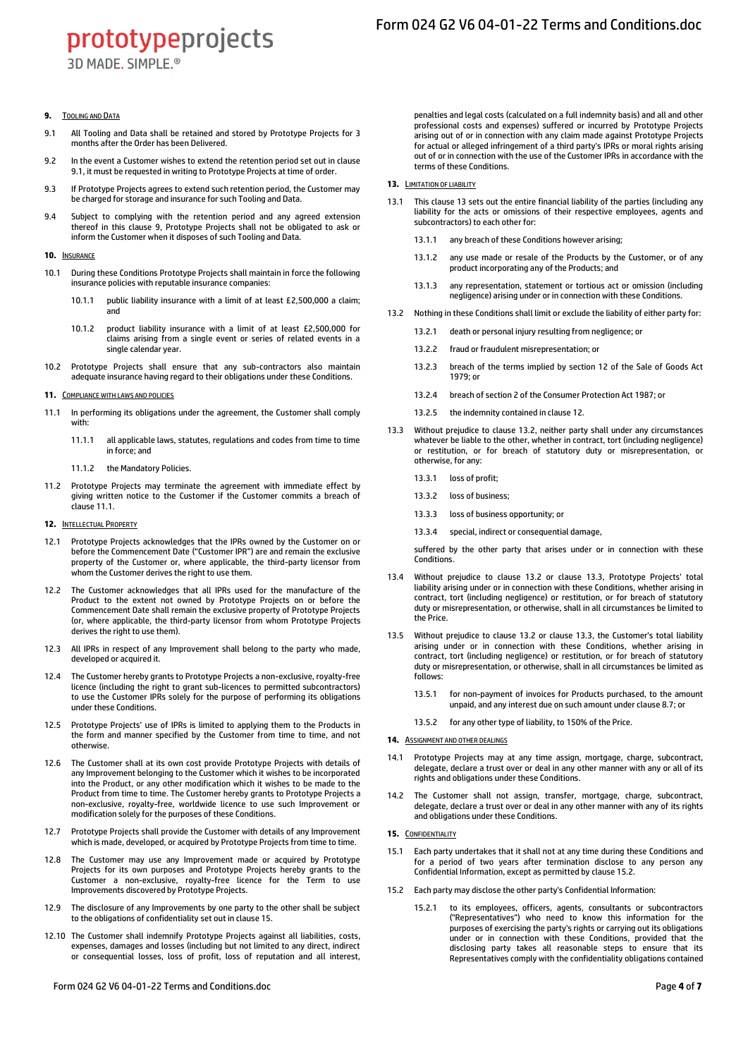3D MADE, SIMPLE.<sup>®</sup>

## <span id="page-3-2"></span>**9.** TOOLING AND DATA

- <span id="page-3-1"></span>9.1 All Tooling and Data shall be retained and stored by Prototype Projects for 3 months after the Order has been Delivered.
- 9.2 In the event a Customer wishes to extend the retention period set out in clause [9.1,](#page-3-1) it must be requested in writing to Prototype Projects at time of order.
- 9.3 If Prototype Projects agrees to extend such retention period, the Customer may be charged for storage and insurance for such Tooling and Data.
- 9.4 Subject to complying with the retention period and any agreed extension thereof in this clause [9,](#page-3-2) Prototype Projects shall not be obligated to ask or inform the Customer when it disposes of such Tooling and Data.

#### **10.** INSURANCE

- 10.1 During these Conditions Prototype Projects shall maintain in force the following insurance policies with reputable insurance companies:
	- 10.1.1 public liability insurance with a limit of at least £2,500,000 a claim; and
	- 10.1.2 product liability insurance with a limit of at least £2,500,000 for claims arising from a single event or series of related events in a single calendar year.
- 10.2 Prototype Projects shall ensure that any sub-contractors also maintain adequate insurance having regard to their obligations under these Conditions.

## **11.** COMPLIANCE WITH LAWS AND POLICIES

- <span id="page-3-3"></span>11.1 In performing its obligations under the agreement, the Customer shall comply with:
	- 11.1.1 all applicable laws, statutes, regulations and codes from time to time in force; and
	- 11.1.2 the Mandatory Policies.
- 11.2 Prototype Projects may terminate the agreement with immediate effect by giving written notice to the Customer if the Customer commits a breach of claus[e 11.1.](#page-3-3)

#### <span id="page-3-6"></span>**12.** INTELLECTUAL PROPERTY

- 12.1 Prototype Projects acknowledges that the IPRs owned by the Customer on or before the Commencement Date ("Customer IPR") are and remain the exclusive property of the Customer or, where applicable, the third-party licensor from whom the Customer derives the right to use them.
- 12.2 The Customer acknowledges that all IPRs used for the manufacture of the Product to the extent not owned by Prototype Projects on or before the Commencement Date shall remain the exclusive property of Prototype Projects (or, where applicable, the third-party licensor from whom Prototype Projects derives the right to use them).
- 12.3 All IPRs in respect of any Improvement shall belong to the party who made, developed or acquired it.
- 12.4 The Customer hereby grants to Prototype Projects a non-exclusive, royalty-free licence (including the right to grant sub-licences to permitted subcontractors) to use the Customer IPRs solely for the purpose of performing its obligations under these Conditions.
- 12.5 Prototype Projects' use of IPRs is limited to applying them to the Products in the form and manner specified by the Customer from time to time, and not otherwise.
- 12.6 The Customer shall at its own cost provide Prototype Projects with details of any Improvement belonging to the Customer which it wishes to be incorporated into the Product, or any other modification which it wishes to be made to the Product from time to time. The Customer hereby grants to Prototype Projects a non-exclusive, royalty-free, worldwide licence to use such Improvement or modification solely for the purposes of these Conditions.
- 12.7 Prototype Projects shall provide the Customer with details of any Improvement which is made, developed, or acquired by Prototype Projects from time to time.
- 12.8 The Customer may use any Improvement made or acquired by Prototype Projects for its own purposes and Prototype Projects hereby grants to the Customer a non-exclusive, royalty-free licence for the Term to use Improvements discovered by Prototype Projects.
- 12.9 The disclosure of any Improvements by one party to the other shall be subject to the obligations of confidentiality set out in claus[e 15.](#page-3-4)
- 12.10 The Customer shall indemnify Prototype Projects against all liabilities, costs, expenses, damages and losses (including but not limited to any direct, indirect or consequential losses, loss of profit, loss of reputation and all interest,

Form 024 G2 V6 04-01-22 Terms and Conditions.doc Page **4** of **7**

penalties and legal costs (calculated on a full indemnity basis) and all and other professional costs and expenses) suffered or incurred by Prototype Projects arising out of or in connection with any claim made against Prototype Projects for actual or alleged infringement of a third party's IPRs or moral rights arising out of or in connection with the use of the Customer IPRs in accordance with the terms of these Conditions.

## <span id="page-3-5"></span>**13.** LIMITATION OF LIABILITY

- 13.1 This claus[e 13](#page-3-5) sets out the entire financial liability of the parties (including any liability for the acts or omissions of their respective employees, agents and subcontractors) to each other for:
	- 13.1.1 any breach of these Conditions however arising;
	- 13.1.2 any use made or resale of the Products by the Customer, or of any product incorporating any of the Products; and
	- 13.1.3 any representation, statement or tortious act or omission (including negligence) arising under or in connection with these Conditions.
- <span id="page-3-7"></span>13.2 Nothing in these Conditions shall limit or exclude the liability of either party for:
	- 13.2.1 death or personal injury resulting from negligence; or
	- 13.2.2 fraud or fraudulent misrepresentation; or
	- 13.2.3 breach of the terms implied by section 12 of the Sale of Goods Act 1979; or
	- 13.2.4 breach of section 2 of the Consumer Protection Act 1987; or
	- 13.2.5 the indemnity contained in claus[e 12.](#page-3-6)
- <span id="page-3-8"></span>13.3 Without prejudice to clause [13.2,](#page-3-7) neither party shall under any circumstances whatever be liable to the other, whether in contract, tort (including negligence) or restitution, or for breach of statutory duty or misrepresentation, or otherwise, for any:
	- 13.3.1 loss of profit;
	- 13.3.2 loss of business;
	- 13.3.3 loss of business opportunity; or
	- 13.3.4 special, indirect or consequential damage,

suffered by the other party that arises under or in connection with these Conditions.

- 13.4 Without prejudice to clause [13.2](#page-3-7) or clause [13.3,](#page-3-8) Prototype Projects' total liability arising under or in connection with these Conditions, whether arising in contract, tort (including negligence) or restitution, or for breach of statutory duty or misrepresentation, or otherwise, shall in all circumstances be limited to the Price.
- 13.5 Without prejudice to claus[e 13.2](#page-3-7) or claus[e 13.3,](#page-3-8) the Customer's total liability arising under or in connection with these Conditions, whether arising in contract, tort (including negligence) or restitution, or for breach of statutory duty or misrepresentation, or otherwise, shall in all circumstances be limited as follows:
	- 13.5.1 for non-payment of invoices for Products purchased, to the amount unpaid, and any interest due on such amount under claus[e 8.7;](#page-2-4) or
	- 13.5.2 for any other type of liability, to 150% of the Price.

## **14.** ASSIGNMENT AND OTHER DEALINGS

- 14.1 Prototype Projects may at any time assign, mortgage, charge, subcontract, delegate, declare a trust over or deal in any other manner with any or all of its rights and obligations under these Conditions.
- 14.2 The Customer shall not assign, transfer, mortgage, charge, subcontract, delegate, declare a trust over or deal in any other manner with any of its rights and obligations under these Conditions.

## <span id="page-3-4"></span>**15.** CONFIDENTIALITY

- 15.1 Each party undertakes that it shall not at any time during these Conditions and for a period of two years after termination disclose to any person any Confidential Information, except as permitted by claus[e 15.2.](#page-3-9)
- <span id="page-3-9"></span><span id="page-3-0"></span>15.2 Each party may disclose the other party's Confidential Information:
	- 15.2.1 to its employees, officers, agents, consultants or subcontractors ("Representatives") who need to know this information for the purposes of exercising the party's rights or carrying out its obligations under or in connection with these Conditions, provided that the disclosing party takes all reasonable steps to ensure that its Representatives comply with the confidentiality obligations contained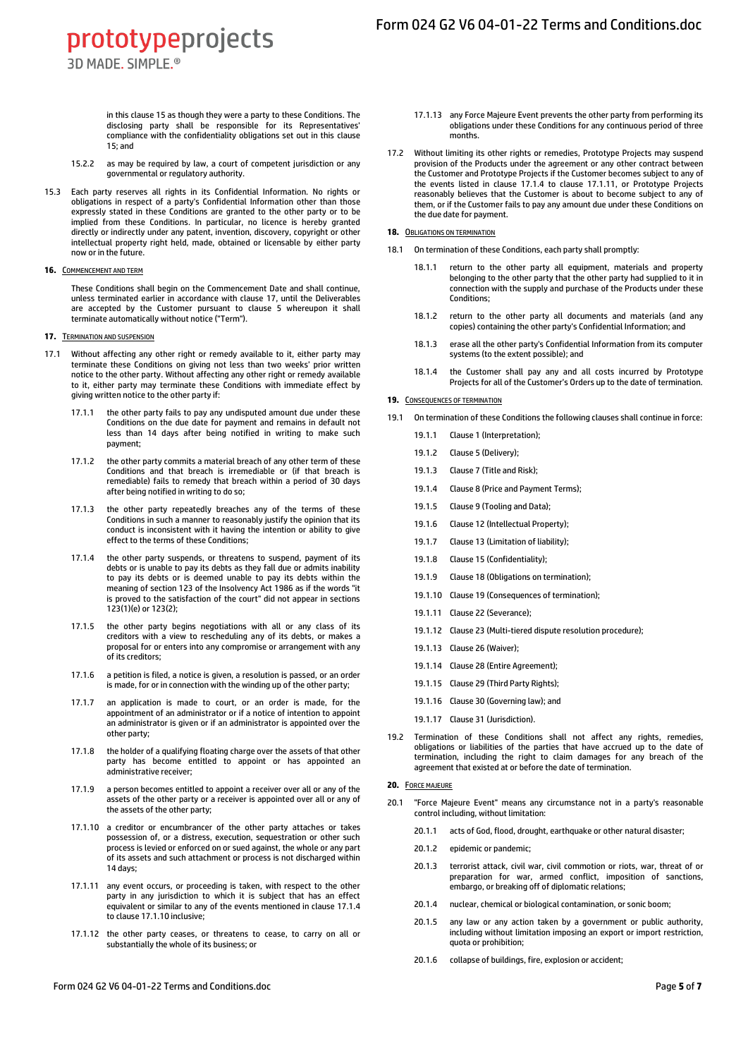prototypeprojects 3D MADE, SIMPLE.<sup>®</sup>

> in this claus[e 15](#page-3-4) as though they were a party to these Conditions. The disclosing party shall be responsible for its Representatives' compliance with the confidentiality obligations set out in this clause [15;](#page-3-4) and

- 15.2.2 as may be required by law, a court of competent jurisdiction or any governmental or regulatory authority.
- 15.3 Each party reserves all rights in its Confidential Information. No rights or obligations in respect of a party's Confidential Information other than those expressly stated in these Conditions are granted to the other party or to be implied from these Conditions. In particular, no licence is hereby granted directly or indirectly under any patent, invention, discovery, copyright or other intellectual property right held, made, obtained or licensable by either party now or in the future.

#### <span id="page-4-1"></span>**16.** COMMENCEMENT AND TERM

These Conditions shall begin on the Commencement Date and shall continue, unless terminated earlier in accordance with clause [17,](#page-4-2) until the Deliverables are accepted by the Customer pursuant to clause [5](#page-1-4) whereupon it shall terminate automatically without notice ("Term").

## <span id="page-4-2"></span>**17. TERMINATION AND SUSPENSION**

- <span id="page-4-3"></span>17.1 Without affecting any other right or remedy available to it, either party may terminate these Conditions on giving not less than two weeks' prior written notice to the other party. Without affecting any other right or remedy available to it, either party may terminate these Conditions with immediate effect by giving written notice to the other party if:
	- 17.1.1 the other party fails to pay any undisputed amount due under these Conditions on the due date for payment and remains in default not less than 14 days after being notified in writing to make such payment;
	- 17.1.2 the other party commits a material breach of any other term of these Conditions and that breach is irremediable or (if that breach is remediable) fails to remedy that breach within a period of 30 days after being notified in writing to do so;
	- 17.1.3 the other party repeatedly breaches any of the terms of these Conditions in such a manner to reasonably justify the opinion that its conduct is inconsistent with it having the intention or ability to give effect to the terms of these Conditions;
	- 17.1.4 the other party suspends, or threatens to suspend, payment of its debts or is unable to pay its debts as they fall due or admits inability to pay its debts or is deemed unable to pay its debts within the meaning of section 123 of the Insolvency Act 1986 as if the words "it is proved to the satisfaction of the court" did not appear in sections 123(1)(e) or 123(2);
	- 17.1.5 the other party begins negotiations with all or any class of its creditors with a view to rescheduling any of its debts, or makes a proposal for or enters into any compromise or arrangement with any of its creditors;
	- 17.1.6 a petition is filed, a notice is given, a resolution is passed, or an order is made, for or in connection with the winding up of the other party;
	- 17.1.7 an application is made to court, or an order is made, for the appointment of an administrator or if a notice of intention to appoint an administrator is given or if an administrator is appointed over the other party;
	- 17.1.8 the holder of a qualifying floating charge over the assets of that other party has become entitled to appoint or has appointed an administrative receiver;
	- 17.1.9 a person becomes entitled to appoint a receiver over all or any of the assets of the other party or a receiver is appointed over all or any of the assets of the other party;
	- 17.1.10 a creditor or encumbrancer of the other party attaches or takes possession of, or a distress, execution, sequestration or other such process is levied or enforced on or sued against, the whole or any part of its assets and such attachment or process is not discharged within 14 days;
	- 17.1.11 any event occurs, or proceeding is taken, with respect to the other party in any jurisdiction to which it is subject that has an effect equivalent or similar to any of the events mentioned in claus[e 17.1.4](#page-4-3) to claus[e 17.1.10](#page-4-5) inclusive;
	- 17.1.12 the other party ceases, or threatens to cease, to carry on all or substantially the whole of its business; or
- 17.1.13 any Force Majeure Event prevents the other party from performing its obligations under these Conditions for any continuous period of three months.
- 17.2 Without limiting its other rights or remedies, Prototype Projects may suspend provision of the Products under the agreement or any other contract between the Customer and Prototype Projects if the Customer becomes subject to any of the events listed in clause [17.1.4](#page-4-3) to clause [17.1.11,](#page-4-4) or Prototype Projects reasonably believes that the Customer is about to become subject to any of them, or if the Customer fails to pay any amount due under these Conditions on the due date for payment.

## <span id="page-4-6"></span>**18. OBLIGATIONS ON TERMINATION**

- 18.1 On termination of these Conditions, each party shall promptly:
	- 18.1.1 return to the other party all equipment, materials and property belonging to the other party that the other party had supplied to it in connection with the supply and purchase of the Products under these Conditions;
	- 18.1.2 return to the other party all documents and materials (and any copies) containing the other party's Confidential Information; and
	- 18.1.3 erase all the other party's Confidential Information from its computer systems (to the extent possible); and
	- 18.1.4 the Customer shall pay any and all costs incurred by Prototype Projects for all of the Customer's Orders up to the date of termination.

## <span id="page-4-7"></span>**19. CONSEQUENCES OF TERMINATION**

- 19.1 On termination of these Conditions the following clauses shall continue in force:
	- 19.1.1 Clause [1](#page-0-0) (Interpretation);
	- 19.1.2 Clause [5](#page-1-4) (Delivery);
	- 19.1.3 Claus[e 7](#page-2-7) (Title and Risk);
	- 19.1.4 Claus[e 8](#page-2-5) (Price and Payment Terms);
	- 19.1.5 Claus[e 9](#page-3-2) (Tooling and Data);
	- 19.1.6 Claus[e 12](#page-3-6) (Intellectual Property);
	- 19.1.7 Claus[e 13](#page-3-5) (Limitation of liability);
	- 19.1.8 Claus[e 15](#page-3-4) (Confidentiality);
	- 19.1.9 Clause [18](#page-4-6) (Obligations on termination);
	- 19.1.10 Claus[e 19](#page-4-7) (Consequences of termination);
	- 19.1.11 Claus[e 22](#page-5-4) (Severance);
	- 19.1.12 Claus[e 23](#page-5-3) (Multi-tiered dispute resolution procedure);
	- 19.1.13 Claus[e 26](#page-5-5) (Waiver);
	- 19.1.14 Claus[e 28](#page-5-6) (Entire Agreement);
	- 19.1.15 Claus[e 29](#page-5-7) (Third Party Rights);
	- 19.1.16 Claus[e 30](#page-5-8) (Governing law); and
	- 19.1.17 Claus[e 31](#page-6-0) (Jurisdiction).
- 19.2 Termination of these Conditions shall not affect any rights, remedies, obligations or liabilities of the parties that have accrued up to the date of termination, including the right to claim damages for any breach of the agreement that existed at or before the date of termination.

#### **20.** FORCE MAJEURE

- <span id="page-4-5"></span><span id="page-4-4"></span><span id="page-4-0"></span>20.1 "Force Majeure Event" means any circumstance not in a party's reasonable control including, without limitation:
	- 20.1.1 acts of God, flood, drought, earthquake or other natural disaster;
	- 20.1.2 epidemic or pandemic;
	- 20.1.3 terrorist attack, civil war, civil commotion or riots, war, threat of or preparation for war, armed conflict, imposition of sanctions, embargo, or breaking off of diplomatic relations;
	- 20.1.4 nuclear, chemical or biological contamination, or sonic boom;
	- 20.1.5 any law or any action taken by a government or public authority, including without limitation imposing an export or import restriction, quota or prohibition;
	- 20.1.6 collapse of buildings, fire, explosion or accident;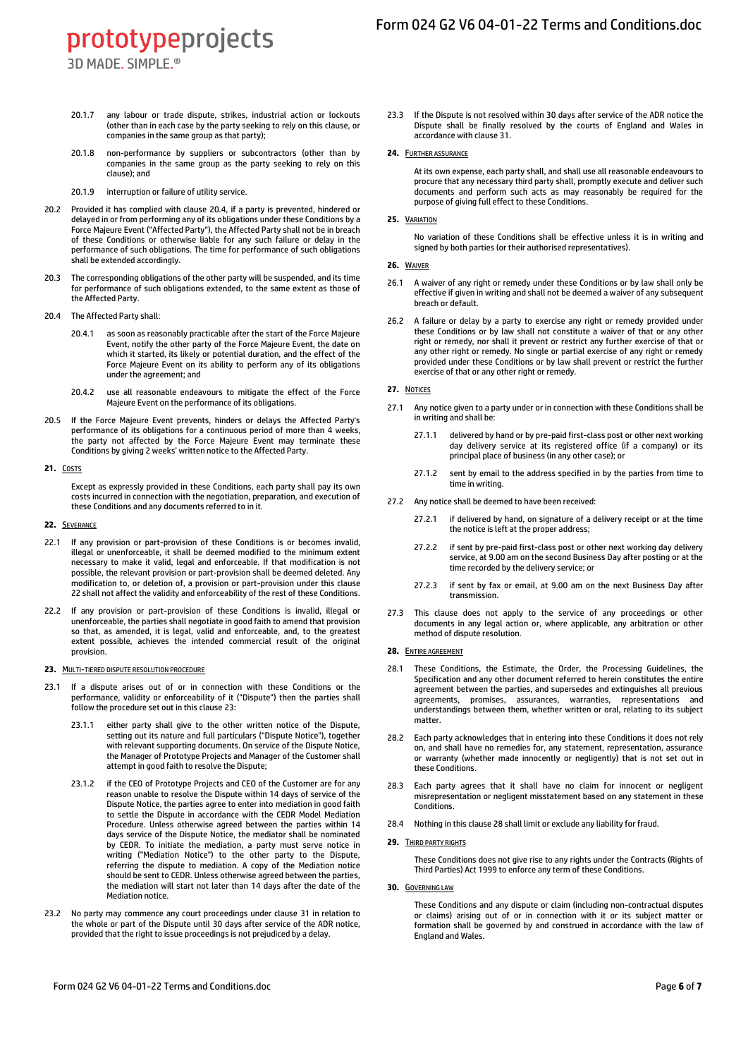- 3D MADE, SIMPLE.<sup>®</sup>
- 20.1.7 any labour or trade dispute, strikes, industrial action or lockouts (other than in each case by the party seeking to rely on this clause, or companies in the same group as that party);
- 20.1.8 non-performance by suppliers or subcontractors (other than by companies in the same group as the party seeking to rely on this clause); and
- 20.1.9 interruption or failure of utility service.
- <span id="page-5-1"></span>20.2 Provided it has complied with clause [20.4,](#page-5-9) if a party is prevented, hindered or delayed in or from performing any of its obligations under these Conditions by a Force Majeure Event ("Affected Party"), the Affected Party shall not be in breach of these Conditions or otherwise liable for any such failure or delay in the performance of such obligations. The time for performance of such obligations shall be extended accordingly.
- 20.3 The corresponding obligations of the other party will be suspended, and its time for performance of such obligations extended, to the same extent as those of the Affected Party.
- <span id="page-5-9"></span>20.4 The Affected Party shall:
	- 20.4.1 as soon as reasonably practicable after the start of the Force Majeure Event, notify the other party of the Force Majeure Event, the date on which it started, its likely or potential duration, and the effect of the Force Majeure Event on its ability to perform any of its obligations under the agreement; and
	- 20.4.2 use all reasonable endeavours to mitigate the effect of the Force Majeure Event on the performance of its obligations.
- 20.5 If the Force Majeure Event prevents, hinders or delays the Affected Party's performance of its obligations for a continuous period of more than 4 weeks, the party not affected by the Force Majeure Event may terminate these Conditions by giving 2 weeks' written notice to the Affected Party.
- **21.** COSTS

Except as expressly provided in these Conditions, each party shall pay its own costs incurred in connection with the negotiation, preparation, and execution of these Conditions and any documents referred to in it.

## <span id="page-5-4"></span>**22.** SEVERANCE

- 22.1 If any provision or part-provision of these Conditions is or becomes invalid, illegal or unenforceable, it shall be deemed modified to the minimum extent necessary to make it valid, legal and enforceable. If that modification is not possible, the relevant provision or part-provision shall be deemed deleted. Any modification to, or deletion of, a provision or part-provision under this clause [22](#page-5-4) shall not affect the validity and enforceability of the rest of these Conditions.
- 22.2 If any provision or part-provision of these Conditions is invalid, illegal or unenforceable, the parties shall negotiate in good faith to amend that provision so that, as amended, it is legal, valid and enforceable, and, to the greatest extent possible, achieves the intended commercial result of the original provision.

#### <span id="page-5-3"></span>**23.** MULTI-TIERED DISPUTE RESOLUTION PROCEDURE

- <span id="page-5-2"></span><span id="page-5-0"></span>If a dispute arises out of or in connection with these Conditions or the performance, validity or enforceability of it ("Dispute") then the parties shall follow the procedure set out in this claus[e 23:](#page-5-3)
	- 23.1.1 either party shall give to the other written notice of the Dispute, setting out its nature and full particulars ("Dispute Notice"), together with relevant supporting documents. On service of the Dispute Notice, the Manager of Prototype Projects and Manager of the Customer shall attempt in good faith to resolve the Dispute;
	- 23.1.2 if the CEO of Prototype Projects and CEO of the Customer are for any reason unable to resolve the Dispute within 14 days of service of the Dispute Notice, the parties agree to enter into mediation in good faith to settle the Dispute in accordance with the CEDR Model Mediation Procedure. Unless otherwise agreed between the parties within 14 days service of the Dispute Notice, the mediator shall be nominated by CEDR. To initiate the mediation, a party must serve notice in writing ("Mediation Notice") to the other party to the Dispute, referring the dispute to mediation. A copy of the Mediation notice should be sent to CEDR. Unless otherwise agreed between the parties, the mediation will start not later than 14 days after the date of the Mediation notice.
- 23.2 No party may commence any court proceedings under clause [31](#page-6-0) in relation to the whole or part of the Dispute until 30 days after service of the ADR notice, provided that the right to issue proceedings is not prejudiced by a delay.

23.3 If the Dispute is not resolved within 30 days after service of the ADR notice the Dispute shall be finally resolved by the courts of England and Wales in accordance with claus[e 31.](#page-6-0)

#### **24.** FURTHER ASSURANCE

At its own expense, each party shall, and shall use all reasonable endeavours to procure that any necessary third party shall, promptly execute and deliver such documents and perform such acts as may reasonably be required for the purpose of giving full effect to these Conditions.

## **25.** VARIATION

No variation of these Conditions shall be effective unless it is in writing and signed by both parties (or their authorised representatives).

## <span id="page-5-5"></span>**26.** WAIVER

- 26.1 A waiver of any right or remedy under these Conditions or by law shall only be effective if given in writing and shall not be deemed a waiver of any subsequent breach or default.
- 26.2 A failure or delay by a party to exercise any right or remedy provided under these Conditions or by law shall not constitute a waiver of that or any other right or remedy, nor shall it prevent or restrict any further exercise of that or any other right or remedy. No single or partial exercise of any right or remedy provided under these Conditions or by law shall prevent or restrict the further exercise of that or any other right or remedy.

### **27.** NOTICES

- 27.1 Any notice given to a party under or in connection with these Conditions shall be in writing and shall be:
	- 27.1.1 delivered by hand or by pre-paid first-class post or other next working day delivery service at its registered office (if a company) or its principal place of business (in any other case); or
	- 27.1.2 sent by email to the address specified in by the parties from time to time in writing.
- 27.2 Any notice shall be deemed to have been received:
	- 27.2.1 if delivered by hand, on signature of a delivery receipt or at the time the notice is left at the proper address;
	- 27.2.2 if sent by pre-paid first-class post or other next working day delivery service, at 9.00 am on the second Business Day after posting or at the time recorded by the delivery service; or
	- 27.2.3 if sent by fax or email, at 9.00 am on the next Business Day after transmission.
- 27.3 This clause does not apply to the service of any proceedings or other documents in any legal action or, where applicable, any arbitration or other method of dispute resolution.

## <span id="page-5-6"></span>**28.** ENTIRE AGREEMENT

- 28.1 These Conditions, the Estimate, the Order, the Processing Guidelines, the Specification and any other document referred to herein constitutes the entire agreement between the parties, and supersedes and extinguishes all previous agreements, promises, assurances, warranties, representations and understandings between them, whether written or oral, relating to its subject matter.
- 28.2 Each party acknowledges that in entering into these Conditions it does not rely on, and shall have no remedies for, any statement, representation, assurance or warranty (whether made innocently or negligently) that is not set out in these Conditions.
- 28.3 Each party agrees that it shall have no claim for innocent or negligent misrepresentation or negligent misstatement based on any statement in these Conditions.
- 28.4 Nothing in this claus[e 28](#page-5-6) shall limit or exclude any liability for fraud.

## <span id="page-5-7"></span>**29. THIRD PARTY RIGHTS**

These Conditions does not give rise to any rights under the Contracts (Rights of Third Parties) Act 1999 to enforce any term of these Conditions.

## <span id="page-5-8"></span>**30.** GOVERNING LAW

These Conditions and any dispute or claim (including non-contractual disputes or claims) arising out of or in connection with it or its subject matter or formation shall be governed by and construed in accordance with the law of England and Wales.